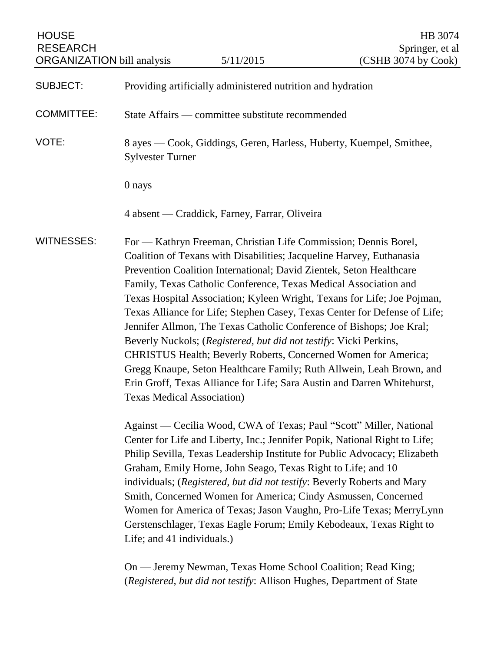| <b>HOUSE</b><br><b>RESEARCH</b><br><b>ORGANIZATION</b> bill analysis |                                                                                                | 5/11/2015                                                                                                                                                                                                                                                                                                                                                                                                                                                                                                                                                                                                                                                                                                                                                                                                                                                                                                                                                                                                                                                                                                                                                                                                                                                                                                                                                                                                | HB 3074<br>Springer, et al<br>(CSHB 3074 by Cook) |
|----------------------------------------------------------------------|------------------------------------------------------------------------------------------------|----------------------------------------------------------------------------------------------------------------------------------------------------------------------------------------------------------------------------------------------------------------------------------------------------------------------------------------------------------------------------------------------------------------------------------------------------------------------------------------------------------------------------------------------------------------------------------------------------------------------------------------------------------------------------------------------------------------------------------------------------------------------------------------------------------------------------------------------------------------------------------------------------------------------------------------------------------------------------------------------------------------------------------------------------------------------------------------------------------------------------------------------------------------------------------------------------------------------------------------------------------------------------------------------------------------------------------------------------------------------------------------------------------|---------------------------------------------------|
| <b>SUBJECT:</b>                                                      |                                                                                                | Providing artificially administered nutrition and hydration                                                                                                                                                                                                                                                                                                                                                                                                                                                                                                                                                                                                                                                                                                                                                                                                                                                                                                                                                                                                                                                                                                                                                                                                                                                                                                                                              |                                                   |
| <b>COMMITTEE:</b>                                                    | State Affairs — committee substitute recommended                                               |                                                                                                                                                                                                                                                                                                                                                                                                                                                                                                                                                                                                                                                                                                                                                                                                                                                                                                                                                                                                                                                                                                                                                                                                                                                                                                                                                                                                          |                                                   |
| VOTE:                                                                | 8 ayes — Cook, Giddings, Geren, Harless, Huberty, Kuempel, Smithee,<br><b>Sylvester Turner</b> |                                                                                                                                                                                                                                                                                                                                                                                                                                                                                                                                                                                                                                                                                                                                                                                                                                                                                                                                                                                                                                                                                                                                                                                                                                                                                                                                                                                                          |                                                   |
|                                                                      | 0 nays                                                                                         |                                                                                                                                                                                                                                                                                                                                                                                                                                                                                                                                                                                                                                                                                                                                                                                                                                                                                                                                                                                                                                                                                                                                                                                                                                                                                                                                                                                                          |                                                   |
|                                                                      |                                                                                                | 4 absent — Craddick, Farney, Farrar, Oliveira                                                                                                                                                                                                                                                                                                                                                                                                                                                                                                                                                                                                                                                                                                                                                                                                                                                                                                                                                                                                                                                                                                                                                                                                                                                                                                                                                            |                                                   |
| <b>WITNESSES:</b>                                                    | Texas Medical Association)<br>Life; and 41 individuals.)                                       | For — Kathryn Freeman, Christian Life Commission; Dennis Borel,<br>Coalition of Texans with Disabilities; Jacqueline Harvey, Euthanasia<br>Prevention Coalition International; David Zientek, Seton Healthcare<br>Family, Texas Catholic Conference, Texas Medical Association and<br>Texas Hospital Association; Kyleen Wright, Texans for Life; Joe Pojman,<br>Texas Alliance for Life; Stephen Casey, Texas Center for Defense of Life;<br>Jennifer Allmon, The Texas Catholic Conference of Bishops; Joe Kral;<br>Beverly Nuckols; (Registered, but did not testify: Vicki Perkins,<br>CHRISTUS Health; Beverly Roberts, Concerned Women for America;<br>Gregg Knaupe, Seton Healthcare Family; Ruth Allwein, Leah Brown, and<br>Erin Groff, Texas Alliance for Life; Sara Austin and Darren Whitehurst,<br>Against — Cecilia Wood, CWA of Texas; Paul "Scott" Miller, National<br>Center for Life and Liberty, Inc.; Jennifer Popik, National Right to Life;<br>Philip Sevilla, Texas Leadership Institute for Public Advocacy; Elizabeth<br>Graham, Emily Horne, John Seago, Texas Right to Life; and 10<br>individuals; (Registered, but did not testify: Beverly Roberts and Mary<br>Smith, Concerned Women for America; Cindy Asmussen, Concerned<br>Women for America of Texas; Jason Vaughn, Pro-Life Texas; MerryLynn<br>Gerstenschlager, Texas Eagle Forum; Emily Kebodeaux, Texas Right to |                                                   |
|                                                                      |                                                                                                | On - Jeremy Newman, Texas Home School Coalition; Read King;<br>(Registered, but did not testify: Allison Hughes, Department of State                                                                                                                                                                                                                                                                                                                                                                                                                                                                                                                                                                                                                                                                                                                                                                                                                                                                                                                                                                                                                                                                                                                                                                                                                                                                     |                                                   |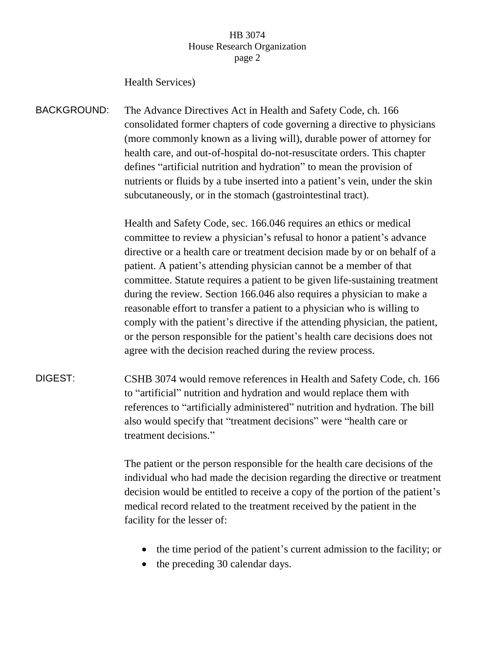### Health Services)

BACKGROUND: The Advance Directives Act in Health and Safety Code, ch. 166 consolidated former chapters of code governing a directive to physicians (more commonly known as a living will), durable power of attorney for health care, and out-of-hospital do-not-resuscitate orders. This chapter defines "artificial nutrition and hydration" to mean the provision of nutrients or fluids by a tube inserted into a patient's vein, under the skin subcutaneously, or in the stomach (gastrointestinal tract).

> Health and Safety Code, sec. 166.046 requires an ethics or medical committee to review a physician's refusal to honor a patient's advance directive or a health care or treatment decision made by or on behalf of a patient. A patient's attending physician cannot be a member of that committee. Statute requires a patient to be given life-sustaining treatment during the review. Section 166.046 also requires a physician to make a reasonable effort to transfer a patient to a physician who is willing to comply with the patient's directive if the attending physician, the patient, or the person responsible for the patient's health care decisions does not agree with the decision reached during the review process.

DIGEST: CSHB 3074 would remove references in Health and Safety Code, ch. 166 to "artificial" nutrition and hydration and would replace them with references to "artificially administered" nutrition and hydration. The bill also would specify that "treatment decisions" were "health care or treatment decisions."

> The patient or the person responsible for the health care decisions of the individual who had made the decision regarding the directive or treatment decision would be entitled to receive a copy of the portion of the patient's medical record related to the treatment received by the patient in the facility for the lesser of:

- the time period of the patient's current admission to the facility; or
- the preceding 30 calendar days.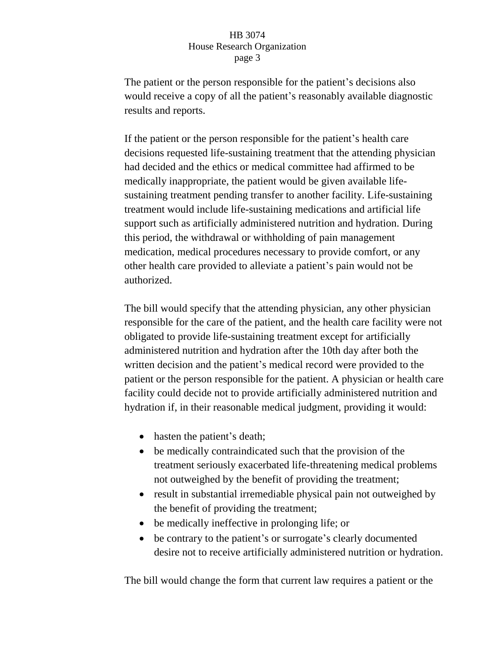The patient or the person responsible for the patient's decisions also would receive a copy of all the patient's reasonably available diagnostic results and reports.

If the patient or the person responsible for the patient's health care decisions requested life-sustaining treatment that the attending physician had decided and the ethics or medical committee had affirmed to be medically inappropriate, the patient would be given available lifesustaining treatment pending transfer to another facility. Life-sustaining treatment would include life-sustaining medications and artificial life support such as artificially administered nutrition and hydration. During this period, the withdrawal or withholding of pain management medication, medical procedures necessary to provide comfort, or any other health care provided to alleviate a patient's pain would not be authorized.

The bill would specify that the attending physician, any other physician responsible for the care of the patient, and the health care facility were not obligated to provide life-sustaining treatment except for artificially administered nutrition and hydration after the 10th day after both the written decision and the patient's medical record were provided to the patient or the person responsible for the patient. A physician or health care facility could decide not to provide artificially administered nutrition and hydration if, in their reasonable medical judgment, providing it would:

- hasten the patient's death;
- be medically contraindicated such that the provision of the treatment seriously exacerbated life-threatening medical problems not outweighed by the benefit of providing the treatment;
- result in substantial irremediable physical pain not outweighed by the benefit of providing the treatment;
- be medically ineffective in prolonging life; or
- be contrary to the patient's or surrogate's clearly documented desire not to receive artificially administered nutrition or hydration.

The bill would change the form that current law requires a patient or the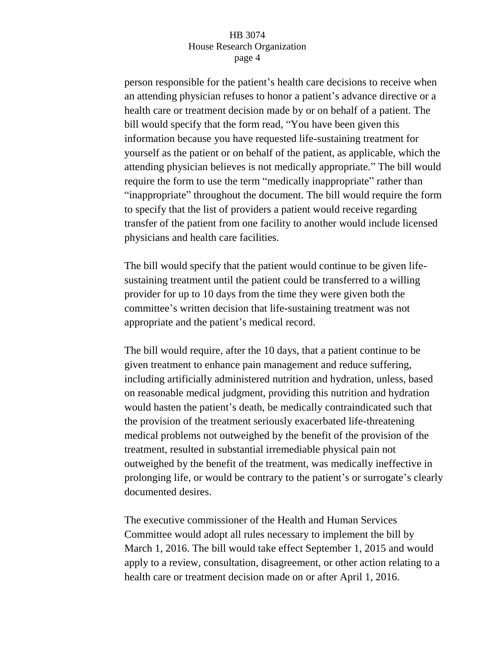person responsible for the patient's health care decisions to receive when an attending physician refuses to honor a patient's advance directive or a health care or treatment decision made by or on behalf of a patient. The bill would specify that the form read, "You have been given this information because you have requested life-sustaining treatment for yourself as the patient or on behalf of the patient, as applicable, which the attending physician believes is not medically appropriate." The bill would require the form to use the term "medically inappropriate" rather than "inappropriate" throughout the document. The bill would require the form to specify that the list of providers a patient would receive regarding transfer of the patient from one facility to another would include licensed physicians and health care facilities.

The bill would specify that the patient would continue to be given lifesustaining treatment until the patient could be transferred to a willing provider for up to 10 days from the time they were given both the committee's written decision that life-sustaining treatment was not appropriate and the patient's medical record.

The bill would require, after the 10 days, that a patient continue to be given treatment to enhance pain management and reduce suffering, including artificially administered nutrition and hydration, unless, based on reasonable medical judgment, providing this nutrition and hydration would hasten the patient's death, be medically contraindicated such that the provision of the treatment seriously exacerbated life-threatening medical problems not outweighed by the benefit of the provision of the treatment, resulted in substantial irremediable physical pain not outweighed by the benefit of the treatment, was medically ineffective in prolonging life, or would be contrary to the patient's or surrogate's clearly documented desires.

The executive commissioner of the Health and Human Services Committee would adopt all rules necessary to implement the bill by March 1, 2016. The bill would take effect September 1, 2015 and would apply to a review, consultation, disagreement, or other action relating to a health care or treatment decision made on or after April 1, 2016.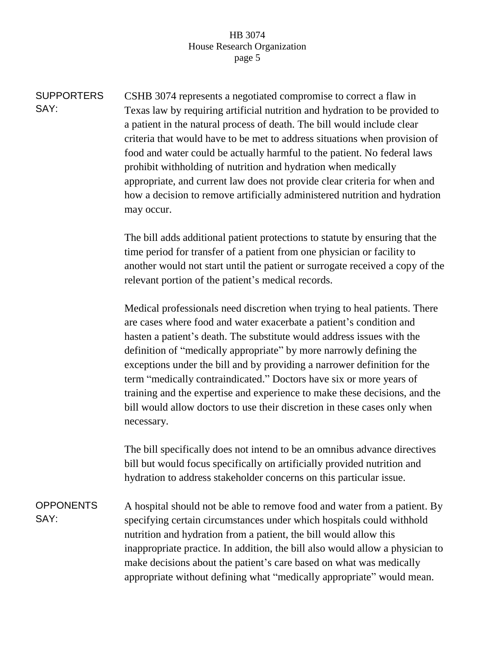**SUPPORTERS** SAY: CSHB 3074 represents a negotiated compromise to correct a flaw in Texas law by requiring artificial nutrition and hydration to be provided to a patient in the natural process of death. The bill would include clear criteria that would have to be met to address situations when provision of food and water could be actually harmful to the patient. No federal laws prohibit withholding of nutrition and hydration when medically appropriate, and current law does not provide clear criteria for when and how a decision to remove artificially administered nutrition and hydration may occur.

> The bill adds additional patient protections to statute by ensuring that the time period for transfer of a patient from one physician or facility to another would not start until the patient or surrogate received a copy of the relevant portion of the patient's medical records.

Medical professionals need discretion when trying to heal patients. There are cases where food and water exacerbate a patient's condition and hasten a patient's death. The substitute would address issues with the definition of "medically appropriate" by more narrowly defining the exceptions under the bill and by providing a narrower definition for the term "medically contraindicated." Doctors have six or more years of training and the expertise and experience to make these decisions, and the bill would allow doctors to use their discretion in these cases only when necessary.

The bill specifically does not intend to be an omnibus advance directives bill but would focus specifically on artificially provided nutrition and hydration to address stakeholder concerns on this particular issue.

OPPONENTS SAY: A hospital should not be able to remove food and water from a patient. By specifying certain circumstances under which hospitals could withhold nutrition and hydration from a patient, the bill would allow this inappropriate practice. In addition, the bill also would allow a physician to make decisions about the patient's care based on what was medically appropriate without defining what "medically appropriate" would mean.